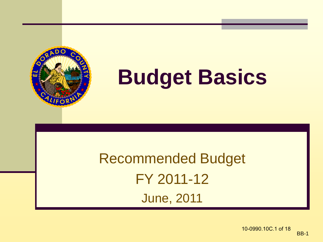

# **Budget Basics**

#### Recommended Budget FY 2011-12 June, 2011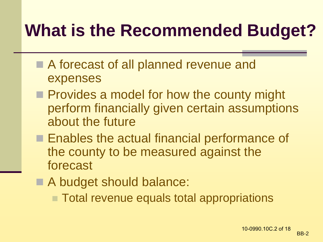#### **What is the Recommended Budget?**

- A forecast of all planned revenue and expenses
- **Provides a model for how the county might** perform financially given certain assumptions about the future
- **Enables the actual financial performance of** the county to be measured against the forecast
- A budget should balance:
	- Total revenue equals total appropriations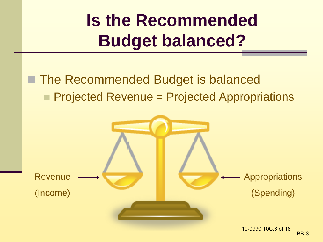## **Is the Recommended Budget balanced?**

#### ■ The Recommended Budget is balanced **Projected Revenue = Projected Appropriations**

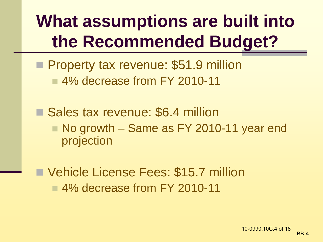## **What assumptions are built into the Recommended Budget?**

- **Property tax revenue: \$51.9 million** ■ 4% decrease from FY 2010-11
- Sales tax revenue: \$6.4 million ■ No growth – Same as FY 2010-11 year end projection
- Vehicle License Fees: \$15.7 million ■4% decrease from FY 2010-11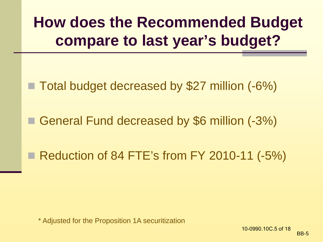#### **How does the Recommended Budget compare to last year's budget?**

■ Total budget decreased by \$27 million (-6%)

General Fund decreased by \$6 million (-3%)

Reduction of 84 FTE's from FY 2010-11  $(-5%)$ 

\* Adjusted for the Proposition 1A securitization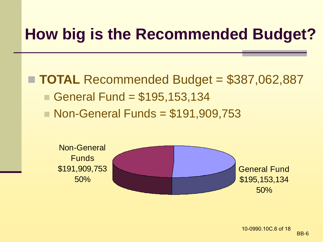#### **How big is the Recommended Budget?**

■ **TOTAL** Recommended Budget = \$387,062,887 General Fund  $= $195, 153, 134$ ■ Non-General Funds = \$191,909,753

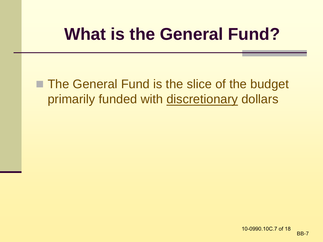#### **What is the General Fund?**

■ The General Fund is the slice of the budget primarily funded with discretionary dollars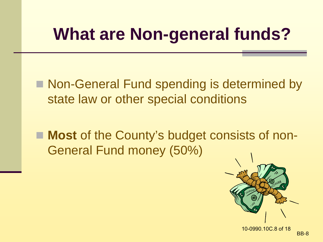### **What are Non-general funds?**

■ Non-General Fund spending is determined by state law or other special conditions

■ **Most** of the County's budget consists of non-General Fund money (50%)

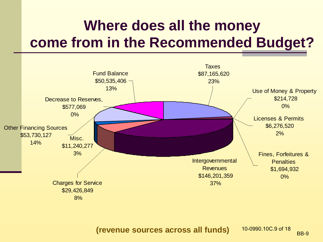#### **Where does all the money come from in the Recommended Budget?**



**(revenue sources across all funds)** BB-9 10-0990.10C.9 of 18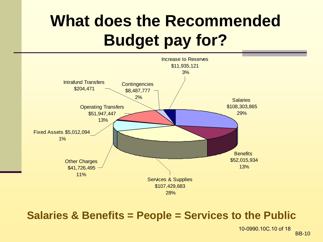#### **What does the Recommended Budget pay for?**



#### **Salaries & Benefits = People = Services to the Public**

BB-10 10-0990.10C.10 of 18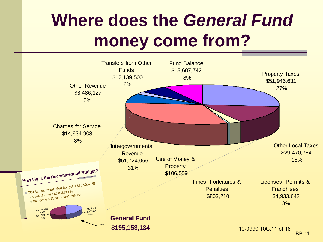## **Where does the** *General Fund* **money come from?**

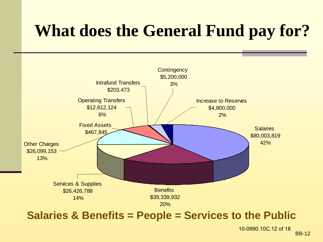#### **What does the General Fund pay for?**



#### **Salaries & Benefits = People = Services to the Public**

10-0990.10C.12 of 18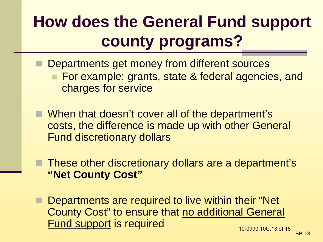#### **How does the General Fund support county programs?**

- Departments get money from different sources **For example: grants, state & federal agencies, and** charges for service
- When that doesn't cover all of the department's costs, the difference is made up with other General Fund discretionary dollars
- These other discretionary dollars are a department's **"Net County Cost"**
- Departments are required to live within their "Net County Cost" to ensure that no additional General Fund support is required 10-0990.10C.13 of 18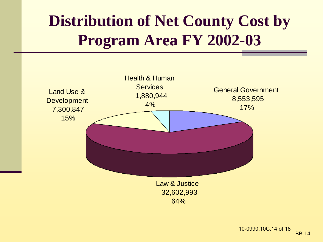#### **Distribution of Net County Cost by Program Area FY 2002-03**

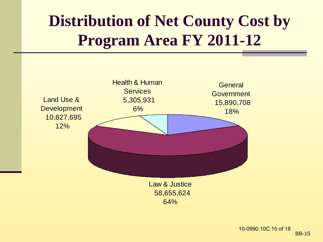#### **Distribution of Net County Cost by Program Area FY 2011-12**

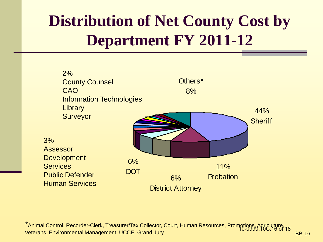#### **Distribution of Net County Cost by Department FY 2011-12**



BB-16 \*<br>Animal Control, Recorder-Clerk, Treasurer/Tax Collector, Court, Human Resources, Promotions, Agriculture, 18<br>Vetarens, Environmental Management, UCCE, Cread, Juny Veterans, Environmental Management, UCCE, Grand Jury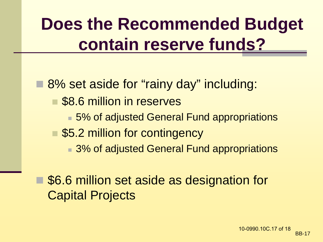## **Does the Recommended Budget contain reserve funds?**

■ 8% set aside for "rainy day" including: \$8.6 million in reserves ■ 5% of adjusted General Fund appropriations ■ \$5.2 million for contingency ■ 3% of adjusted General Fund appropriations

 \$6.6 million set aside as designation for Capital Projects